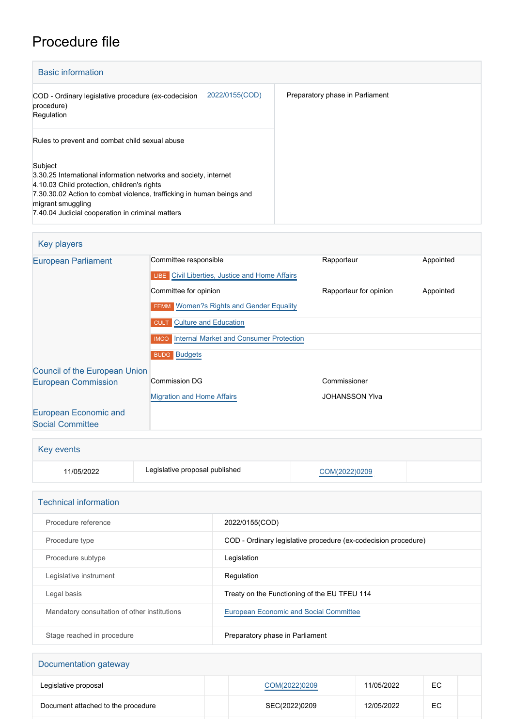## Procedure file

| <b>Basic information</b>                                                                                                                                                                                                                                                     |                                 |
|------------------------------------------------------------------------------------------------------------------------------------------------------------------------------------------------------------------------------------------------------------------------------|---------------------------------|
| 2022/0155(COD)<br>COD - Ordinary legislative procedure (ex-codecision<br>procedure)<br>Regulation                                                                                                                                                                            | Preparatory phase in Parliament |
| Rules to prevent and combat child sexual abuse                                                                                                                                                                                                                               |                                 |
| Subject<br>3.30.25 International information networks and society, internet<br>4.10.03 Child protection, children's rights<br>7.30.30.02 Action to combat violence, trafficking in human beings and<br>migrant smuggling<br>7.40.04 Judicial cooperation in criminal matters |                                 |

## Key players

| 1.10, 1.10, 1.010                    |                                                                                |                        |           |
|--------------------------------------|--------------------------------------------------------------------------------|------------------------|-----------|
| <b>European Parliament</b>           | Committee responsible<br><b>LIBE</b> Civil Liberties, Justice and Home Affairs | Rapporteur             | Appointed |
|                                      | Committee for opinion                                                          | Rapporteur for opinion | Appointed |
|                                      | <b>FEMM</b> Women?s Rights and Gender Equality                                 |                        |           |
|                                      | <b>CULT</b> Culture and Education                                              |                        |           |
|                                      | <b>IMCO</b> Internal Market and Consumer Protection                            |                        |           |
|                                      | <b>BUDG Budgets</b>                                                            |                        |           |
| <b>Council of the European Union</b> |                                                                                |                        |           |
| <b>European Commission</b>           | Commission DG                                                                  | Commissioner           |           |
|                                      | <b>Migration and Home Affairs</b>                                              | <b>JOHANSSON YIva</b>  |           |
| European Economic and                |                                                                                |                        |           |
| <b>Social Committee</b>              |                                                                                |                        |           |

| <b>Key events</b> |                                |               |  |  |  |
|-------------------|--------------------------------|---------------|--|--|--|
| 11/05/2022        | Legislative proposal published | COM(2022)0209 |  |  |  |

| <b>Technical information</b>                 |                                                                |  |  |
|----------------------------------------------|----------------------------------------------------------------|--|--|
| Procedure reference                          | 2022/0155(COD)                                                 |  |  |
| Procedure type                               | COD - Ordinary legislative procedure (ex-codecision procedure) |  |  |
| Procedure subtype                            | Legislation                                                    |  |  |
| Legislative instrument                       | Regulation                                                     |  |  |
| Legal basis                                  | Treaty on the Functioning of the EU TFEU 114                   |  |  |
| Mandatory consultation of other institutions | <b>European Economic and Social Committee</b>                  |  |  |
| Stage reached in procedure                   | Preparatory phase in Parliament                                |  |  |

| Documentation gateway              |               |            |     |  |  |
|------------------------------------|---------------|------------|-----|--|--|
| Legislative proposal               | COM(2022)0209 | 11/05/2022 | EC. |  |  |
| Document attached to the procedure | SEC(2022)0209 | 12/05/2022 | ЕC  |  |  |